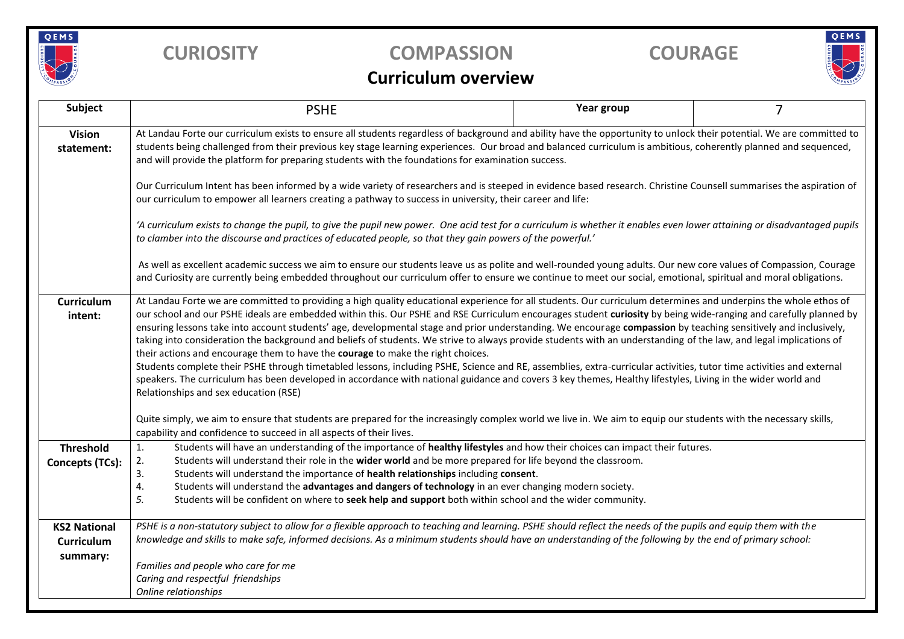

## **CURIOSITY COMPASSION COURAGE**



## **Curriculum overview**

| Subject                                       | <b>PSHE</b>                                                                                                                                                                                                                                                                                                                                                                                                                                                                                                                                                                                                                                                                                                                                                                                                                                                                                                                                                                                                                                                                                                                                      | Year group | $\overline{7}$ |  |  |  |  |  |
|-----------------------------------------------|--------------------------------------------------------------------------------------------------------------------------------------------------------------------------------------------------------------------------------------------------------------------------------------------------------------------------------------------------------------------------------------------------------------------------------------------------------------------------------------------------------------------------------------------------------------------------------------------------------------------------------------------------------------------------------------------------------------------------------------------------------------------------------------------------------------------------------------------------------------------------------------------------------------------------------------------------------------------------------------------------------------------------------------------------------------------------------------------------------------------------------------------------|------------|----------------|--|--|--|--|--|
| <b>Vision</b><br>statement:                   | At Landau Forte our curriculum exists to ensure all students regardless of background and ability have the opportunity to unlock their potential. We are committed to<br>students being challenged from their previous key stage learning experiences. Our broad and balanced curriculum is ambitious, coherently planned and sequenced,<br>and will provide the platform for preparing students with the foundations for examination success.                                                                                                                                                                                                                                                                                                                                                                                                                                                                                                                                                                                                                                                                                                   |            |                |  |  |  |  |  |
|                                               | Our Curriculum Intent has been informed by a wide variety of researchers and is steeped in evidence based research. Christine Counsell summarises the aspiration of<br>our curriculum to empower all learners creating a pathway to success in university, their career and life:                                                                                                                                                                                                                                                                                                                                                                                                                                                                                                                                                                                                                                                                                                                                                                                                                                                                |            |                |  |  |  |  |  |
|                                               | 'A curriculum exists to change the pupil, to give the pupil new power. One acid test for a curriculum is whether it enables even lower attaining or disadvantaged pupils<br>to clamber into the discourse and practices of educated people, so that they gain powers of the powerful.'                                                                                                                                                                                                                                                                                                                                                                                                                                                                                                                                                                                                                                                                                                                                                                                                                                                           |            |                |  |  |  |  |  |
|                                               | As well as excellent academic success we aim to ensure our students leave us as polite and well-rounded young adults. Our new core values of Compassion, Courage<br>and Curiosity are currently being embedded throughout our curriculum offer to ensure we continue to meet our social, emotional, spiritual and moral obligations.                                                                                                                                                                                                                                                                                                                                                                                                                                                                                                                                                                                                                                                                                                                                                                                                             |            |                |  |  |  |  |  |
| Curriculum<br>intent:                         | At Landau Forte we are committed to providing a high quality educational experience for all students. Our curriculum determines and underpins the whole ethos of<br>our school and our PSHE ideals are embedded within this. Our PSHE and RSE Curriculum encourages student curiosity by being wide-ranging and carefully planned by<br>ensuring lessons take into account students' age, developmental stage and prior understanding. We encourage compassion by teaching sensitively and inclusively,<br>taking into consideration the background and beliefs of students. We strive to always provide students with an understanding of the law, and legal implications of<br>their actions and encourage them to have the courage to make the right choices.<br>Students complete their PSHE through timetabled lessons, including PSHE, Science and RE, assemblies, extra-curricular activities, tutor time activities and external<br>speakers. The curriculum has been developed in accordance with national guidance and covers 3 key themes, Healthy lifestyles, Living in the wider world and<br>Relationships and sex education (RSE) |            |                |  |  |  |  |  |
|                                               | Quite simply, we aim to ensure that students are prepared for the increasingly complex world we live in. We aim to equip our students with the necessary skills,<br>capability and confidence to succeed in all aspects of their lives.                                                                                                                                                                                                                                                                                                                                                                                                                                                                                                                                                                                                                                                                                                                                                                                                                                                                                                          |            |                |  |  |  |  |  |
| <b>Threshold</b><br><b>Concepts (TCs):</b>    | Students will have an understanding of the importance of healthy lifestyles and how their choices can impact their futures.<br>1.<br>Students will understand their role in the wider world and be more prepared for life beyond the classroom.<br>2.<br>3.<br>Students will understand the importance of health relationships including consent.<br>Students will understand the advantages and dangers of technology in an ever changing modern society.<br>4.<br>5.<br>Students will be confident on where to seek help and support both within school and the wider community.                                                                                                                                                                                                                                                                                                                                                                                                                                                                                                                                                               |            |                |  |  |  |  |  |
| <b>KS2 National</b><br>Curriculum<br>summary: | PSHE is a non-statutory subject to allow for a flexible approach to teaching and learning. PSHE should reflect the needs of the pupils and equip them with the<br>knowledge and skills to make safe, informed decisions. As a minimum students should have an understanding of the following by the end of primary school:<br>Families and people who care for me<br>Caring and respectful friendships<br>Online relationships                                                                                                                                                                                                                                                                                                                                                                                                                                                                                                                                                                                                                                                                                                                   |            |                |  |  |  |  |  |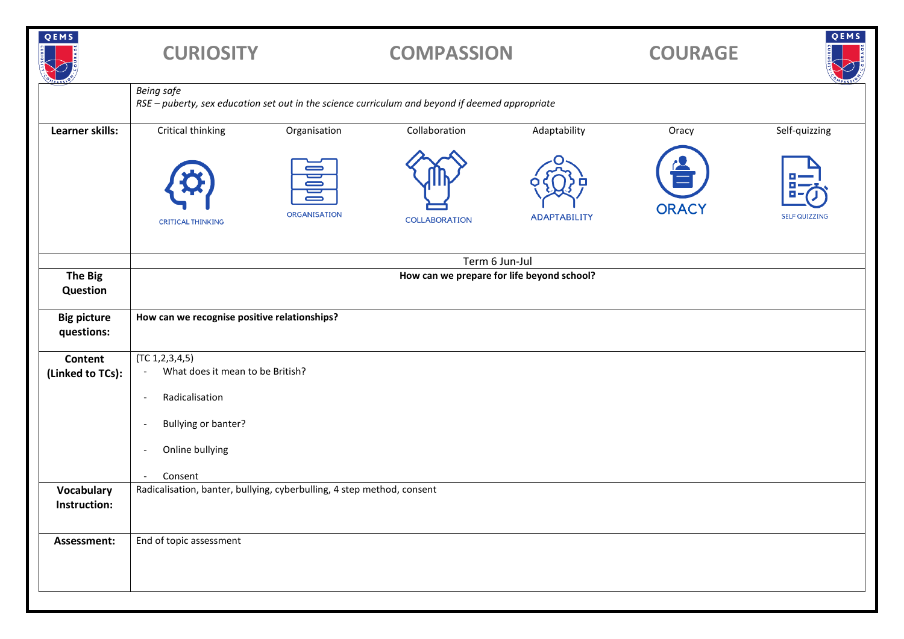| QEMS                               | <b>CURIOSITY</b>                                                                                                     |                                    | <b>COMPASSION</b>    |                     | <b>COURAGE</b> | QEMS                 |
|------------------------------------|----------------------------------------------------------------------------------------------------------------------|------------------------------------|----------------------|---------------------|----------------|----------------------|
|                                    | <b>Being safe</b><br>RSE - puberty, sex education set out in the science curriculum and beyond if deemed appropriate |                                    |                      |                     |                |                      |
| Learner skills:                    | Critical thinking                                                                                                    | Organisation                       | Collaboration        | Adaptability        | Oracy          | Self-quizzing        |
|                                    | <b>CRITICAL THINKING</b>                                                                                             | <b>Dolf</b><br><b>ORGANISATION</b> | <b>COLLABORATION</b> | <b>ADAPTABILITY</b> | <b>ORACY</b>   | <b>SELF QUIZZING</b> |
|                                    | Term 6 Jun-Jul                                                                                                       |                                    |                      |                     |                |                      |
| <b>The Big</b><br>Question         | How can we prepare for life beyond school?                                                                           |                                    |                      |                     |                |                      |
| <b>Big picture</b><br>questions:   | How can we recognise positive relationships?                                                                         |                                    |                      |                     |                |                      |
| <b>Content</b><br>(Linked to TCs): | (TC 1, 2, 3, 4, 5)<br>What does it mean to be British?<br>$\overline{\phantom{a}}$                                   |                                    |                      |                     |                |                      |
|                                    | Radicalisation<br>$\overline{\phantom{a}}$                                                                           |                                    |                      |                     |                |                      |
|                                    | Bullying or banter?<br>$\overline{\phantom{a}}$                                                                      |                                    |                      |                     |                |                      |
|                                    | Online bullying<br>$\overline{\phantom{a}}$                                                                          |                                    |                      |                     |                |                      |
|                                    | Consent<br>$\overline{\phantom{a}}$                                                                                  |                                    |                      |                     |                |                      |
| <b>Vocabulary</b><br>Instruction:  | Radicalisation, banter, bullying, cyberbulling, 4 step method, consent                                               |                                    |                      |                     |                |                      |
| Assessment:                        | End of topic assessment                                                                                              |                                    |                      |                     |                |                      |
|                                    |                                                                                                                      |                                    |                      |                     |                |                      |
|                                    |                                                                                                                      |                                    |                      |                     |                |                      |